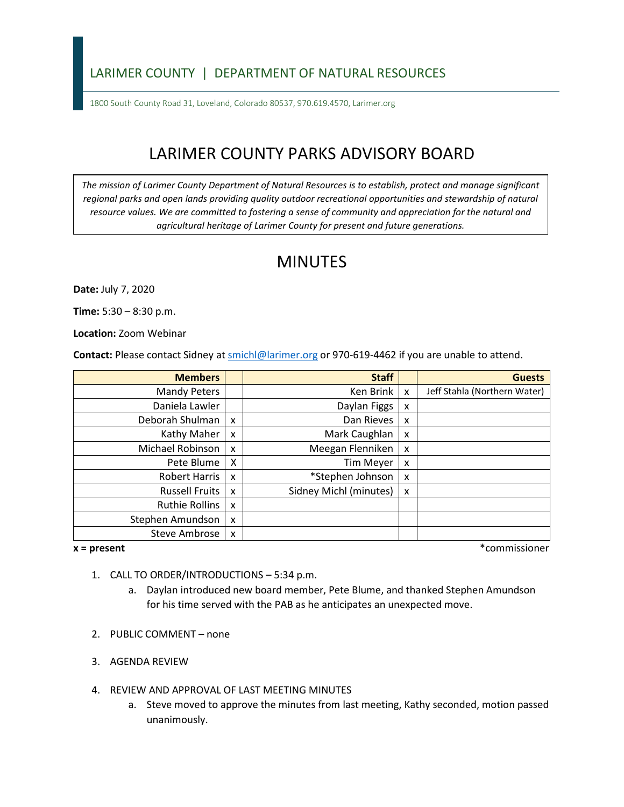### LARIMER COUNTY | DEPARTMENT OF NATURAL RESOURCES

1800 South County Road 31, Loveland, Colorado 80537, 970.619.4570, Larimer.org

# LARIMER COUNTY PARKS ADVISORY BOARD

*The mission of Larimer County Department of Natural Resources is to establish, protect and manage significant*  regional parks and open lands providing quality outdoor recreational opportunities and stewardship of natural *resource values. We are committed to fostering a sense of community and appreciation for the natural and agricultural heritage of Larimer County for present and future generations.*

## MINUTES

**Date:** July 7, 2020

**Time:** 5:30 – 8:30 p.m.

**Location:** Zoom Webinar

**Contact:** Please contact Sidney a[t smichl@larimer.org](mailto:smichl@larimer.org) or 970-619-4462 if you are unable to attend.

| <b>Members</b>        |                           | <b>Staff</b>           |   | <b>Guests</b>                |
|-----------------------|---------------------------|------------------------|---|------------------------------|
| <b>Mandy Peters</b>   |                           | Ken Brink              | X | Jeff Stahla (Northern Water) |
| Daniela Lawler        |                           | Daylan Figgs           | x |                              |
| Deborah Shulman       | $\boldsymbol{\mathsf{x}}$ | Dan Rieves             | x |                              |
| Kathy Maher           | X                         | Mark Caughlan          | x |                              |
| Michael Robinson      | $\boldsymbol{\mathsf{x}}$ | Meegan Flenniken       | x |                              |
| Pete Blume            | X                         | <b>Tim Meyer</b>       | x |                              |
| Robert Harris         | $\boldsymbol{\mathsf{x}}$ | *Stephen Johnson       | x |                              |
| <b>Russell Fruits</b> | $\boldsymbol{\mathsf{x}}$ | Sidney Michl (minutes) | x |                              |
| Ruthie Rollins        | $\boldsymbol{\mathsf{x}}$ |                        |   |                              |
| Stephen Amundson      | X                         |                        |   |                              |
| Steve Ambrose         | $\boldsymbol{\mathsf{x}}$ |                        |   |                              |

**x = present** \*commissioner

- 1. CALL TO ORDER/INTRODUCTIONS 5:34 p.m.
	- a. Daylan introduced new board member, Pete Blume, and thanked Stephen Amundson for his time served with the PAB as he anticipates an unexpected move.
- 2. PUBLIC COMMENT none
- 3. AGENDA REVIEW
- 4. REVIEW AND APPROVAL OF LAST MEETING MINUTES
	- a. Steve moved to approve the minutes from last meeting, Kathy seconded, motion passed unanimously.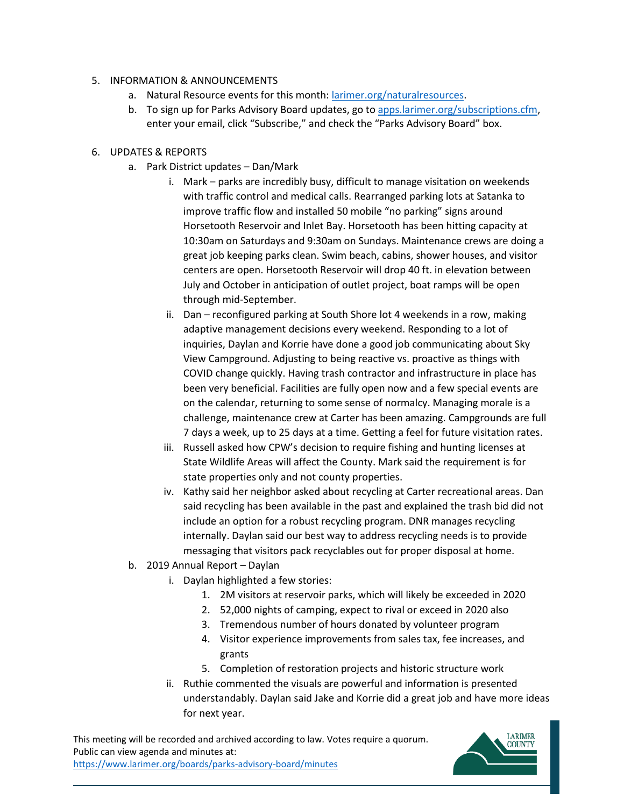#### 5. INFORMATION & ANNOUNCEMENTS

- a. Natural Resource events for this month: [larimer.org/naturalresources.](https://www.larimer.org/naturalresources)
- b. To sign up for Parks Advisory Board updates, go to [apps.larimer.org/subscriptions.cfm,](https://apps.larimer.org/subscriptions.cfm) enter your email, click "Subscribe," and check the "Parks Advisory Board" box.

#### 6. UPDATES & REPORTS

- a. Park District updates Dan/Mark
	- i. Mark parks are incredibly busy, difficult to manage visitation on weekends with traffic control and medical calls. Rearranged parking lots at Satanka to improve traffic flow and installed 50 mobile "no parking" signs around Horsetooth Reservoir and Inlet Bay. Horsetooth has been hitting capacity at 10:30am on Saturdays and 9:30am on Sundays. Maintenance crews are doing a great job keeping parks clean. Swim beach, cabins, shower houses, and visitor centers are open. Horsetooth Reservoir will drop 40 ft. in elevation between July and October in anticipation of outlet project, boat ramps will be open through mid-September.
	- ii. Dan reconfigured parking at South Shore lot 4 weekends in a row, making adaptive management decisions every weekend. Responding to a lot of inquiries, Daylan and Korrie have done a good job communicating about Sky View Campground. Adjusting to being reactive vs. proactive as things with COVID change quickly. Having trash contractor and infrastructure in place has been very beneficial. Facilities are fully open now and a few special events are on the calendar, returning to some sense of normalcy. Managing morale is a challenge, maintenance crew at Carter has been amazing. Campgrounds are full 7 days a week, up to 25 days at a time. Getting a feel for future visitation rates.
	- iii. Russell asked how CPW's decision to require fishing and hunting licenses at State Wildlife Areas will affect the County. Mark said the requirement is for state properties only and not county properties.
	- iv. Kathy said her neighbor asked about recycling at Carter recreational areas. Dan said recycling has been available in the past and explained the trash bid did not include an option for a robust recycling program. DNR manages recycling internally. Daylan said our best way to address recycling needs is to provide messaging that visitors pack recyclables out for proper disposal at home.
- b. 2019 Annual Report Daylan
	- i. Daylan highlighted a few stories:
		- 1. 2M visitors at reservoir parks, which will likely be exceeded in 2020
		- 2. 52,000 nights of camping, expect to rival or exceed in 2020 also
		- 3. Tremendous number of hours donated by volunteer program
		- 4. Visitor experience improvements from sales tax, fee increases, and grants
		- 5. Completion of restoration projects and historic structure work
	- ii. Ruthie commented the visuals are powerful and information is presented understandably. Daylan said Jake and Korrie did a great job and have more ideas for next year.

This meeting will be recorded and archived according to law. Votes require a quorum. Public can view agenda and minutes at: <https://www.larimer.org/boards/parks-advisory-board/minutes>

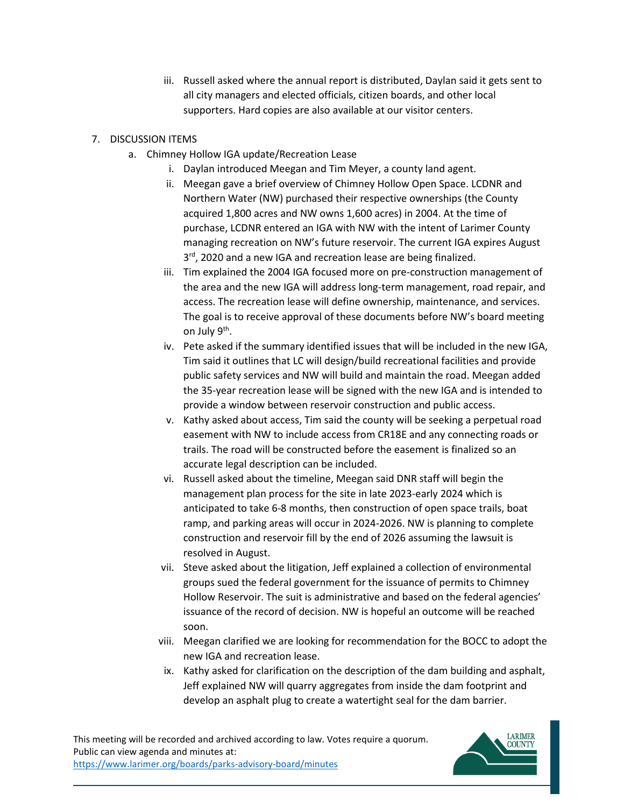iii. Russell asked where the annual report is distributed, Daylan said it gets sent to all city managers and elected officials, citizen boards, and other local supporters. Hard copies are also available at our visitor centers.

#### 7. DISCUSSION ITEMS

- a. Chimney Hollow IGA update/Recreation Lease
	- i. Daylan introduced Meegan and Tim Meyer, a county land agent.
	- ii. Meegan gave a brief overview of Chimney Hollow Open Space. LCDNR and Northern Water (NW) purchased their respective ownerships (the County acquired 1,800 acres and NW owns 1,600 acres) in 2004. At the time of purchase, LCDNR entered an IGA with NW with the intent of Larimer County managing recreation on NW's future reservoir. The current IGA expires August 3<sup>rd</sup>, 2020 and a new IGA and recreation lease are being finalized.
	- iii. Tim explained the 2004 IGA focused more on pre-construction management of the area and the new IGA will address long-term management, road repair, and access. The recreation lease will define ownership, maintenance, and services. The goal is to receive approval of these documents before NW's board meeting on July 9<sup>th</sup>.
	- iv. Pete asked if the summary identified issues that will be included in the new IGA, Tim said it outlines that LC will design/build recreational facilities and provide public safety services and NW will build and maintain the road. Meegan added the 35-year recreation lease will be signed with the new IGA and is intended to provide a window between reservoir construction and public access.
	- v. Kathy asked about access, Tim said the county will be seeking a perpetual road easement with NW to include access from CR18E and any connecting roads or trails. The road will be constructed before the easement is finalized so an accurate legal description can be included.
	- vi. Russell asked about the timeline, Meegan said DNR staff will begin the management plan process for the site in late 2023-early 2024 which is anticipated to take 6-8 months, then construction of open space trails, boat ramp, and parking areas will occur in 2024-2026. NW is planning to complete construction and reservoir fill by the end of 2026 assuming the lawsuit is resolved in August.
	- vii. Steve asked about the litigation, Jeff explained a collection of environmental groups sued the federal government for the issuance of permits to Chimney Hollow Reservoir. The suit is administrative and based on the federal agencies' issuance of the record of decision. NW is hopeful an outcome will be reached soon.
	- viii. Meegan clarified we are looking for recommendation for the BOCC to adopt the new IGA and recreation lease.
	- ix. Kathy asked for clarification on the description of the dam building and asphalt, Jeff explained NW will quarry aggregates from inside the dam footprint and develop an asphalt plug to create a watertight seal for the dam barrier.

This meeting will be recorded and archived according to law. Votes require a quorum. Public can view agenda and minutes at: <https://www.larimer.org/boards/parks-advisory-board/minutes>

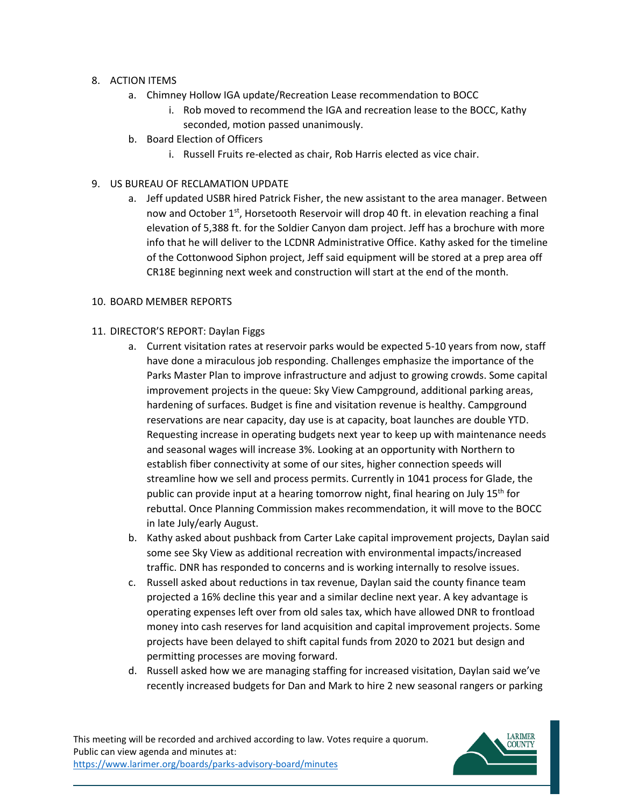- 8. ACTION ITEMS
	- a. Chimney Hollow IGA update/Recreation Lease recommendation to BOCC
		- i. Rob moved to recommend the IGA and recreation lease to the BOCC, Kathy seconded, motion passed unanimously.
	- b. Board Election of Officers
		- i. Russell Fruits re-elected as chair, Rob Harris elected as vice chair.
- 9. US BUREAU OF RECLAMATION UPDATE
	- a. Jeff updated USBR hired Patrick Fisher, the new assistant to the area manager. Between now and October  $1^{st}$ , Horsetooth Reservoir will drop 40 ft. in elevation reaching a final elevation of 5,388 ft. for the Soldier Canyon dam project. Jeff has a brochure with more info that he will deliver to the LCDNR Administrative Office. Kathy asked for the timeline of the Cottonwood Siphon project, Jeff said equipment will be stored at a prep area off CR18E beginning next week and construction will start at the end of the month.

#### 10. BOARD MEMBER REPORTS

- 11. DIRECTOR'S REPORT: Daylan Figgs
	- a. Current visitation rates at reservoir parks would be expected 5-10 years from now, staff have done a miraculous job responding. Challenges emphasize the importance of the Parks Master Plan to improve infrastructure and adjust to growing crowds. Some capital improvement projects in the queue: Sky View Campground, additional parking areas, hardening of surfaces. Budget is fine and visitation revenue is healthy. Campground reservations are near capacity, day use is at capacity, boat launches are double YTD. Requesting increase in operating budgets next year to keep up with maintenance needs and seasonal wages will increase 3%. Looking at an opportunity with Northern to establish fiber connectivity at some of our sites, higher connection speeds will streamline how we sell and process permits. Currently in 1041 process for Glade, the public can provide input at a hearing tomorrow night, final hearing on July  $15<sup>th</sup>$  for rebuttal. Once Planning Commission makes recommendation, it will move to the BOCC in late July/early August.
	- b. Kathy asked about pushback from Carter Lake capital improvement projects, Daylan said some see Sky View as additional recreation with environmental impacts/increased traffic. DNR has responded to concerns and is working internally to resolve issues.
	- c. Russell asked about reductions in tax revenue, Daylan said the county finance team projected a 16% decline this year and a similar decline next year. A key advantage is operating expenses left over from old sales tax, which have allowed DNR to frontload money into cash reserves for land acquisition and capital improvement projects. Some projects have been delayed to shift capital funds from 2020 to 2021 but design and permitting processes are moving forward.
	- d. Russell asked how we are managing staffing for increased visitation, Daylan said we've recently increased budgets for Dan and Mark to hire 2 new seasonal rangers or parking